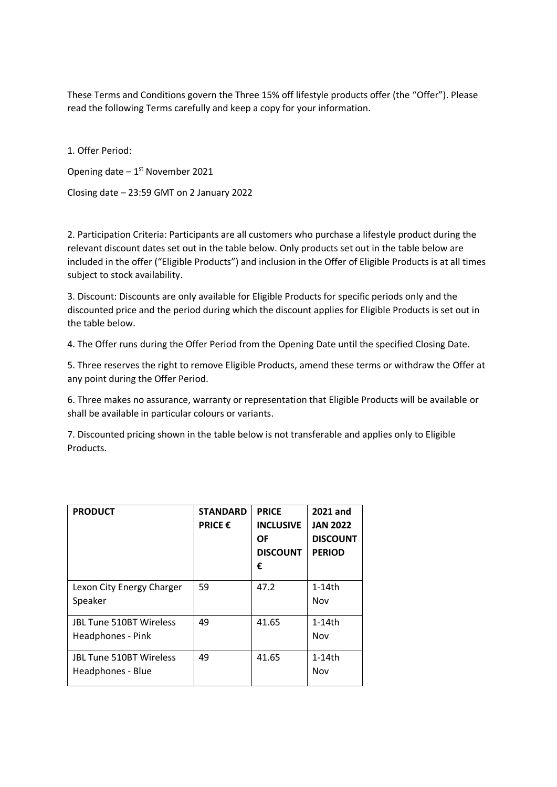These Terms and Conditions govern the Three 15% off lifestyle products offer (the "Offer"). Please read the following Terms carefully and keep a copy for your information.

1. Offer Period: Opening date  $-1^{st}$  November 2021 Closing date – 23:59 GMT on 2 January 2022

2. Participation Criteria: Participants are all customers who purchase a lifestyle product during the relevant discount dates set out in the table below. Only products set out in the table below are included in the offer ("Eligible Products") and inclusion in the Offer of Eligible Products is at all times subject to stock availability.

3. Discount: Discounts are only available for Eligible Products for specific periods only and the discounted price and the period during which the discount applies for Eligible Products is set out in the table below.

4. The Offer runs during the Offer Period from the Opening Date until the specified Closing Date.

5. Three reserves the right to remove Eligible Products, amend these terms or withdraw the Offer at any point during the Offer Period.

6. Three makes no assurance, warranty or representation that Eligible Products will be available or shall be available in particular colours or variants.

7. Discounted pricing shown in the table below is not transferable and applies only to Eligible Products.

| <b>PRODUCT</b>                                      | <b>STANDARD</b><br><b>PRICE €</b> | <b>PRICE</b><br><b>INCLUSIVE</b><br>ΟF<br><b>DISCOUNT</b><br>€ | 2021 and<br><b>JAN 2022</b><br><b>DISCOUNT</b><br><b>PERIOD</b> |
|-----------------------------------------------------|-----------------------------------|----------------------------------------------------------------|-----------------------------------------------------------------|
| Lexon City Energy Charger<br>Speaker                | 59                                | 47.2                                                           | $1-14$ th<br>Nov                                                |
| <b>JBL Tune 510BT Wireless</b><br>Headphones - Pink | 49                                | 41.65                                                          | $1-14$ th<br>Nov                                                |
| <b>JBL Tune 510BT Wireless</b><br>Headphones - Blue | 49                                | 41.65                                                          | $1-14$ th<br>Nov                                                |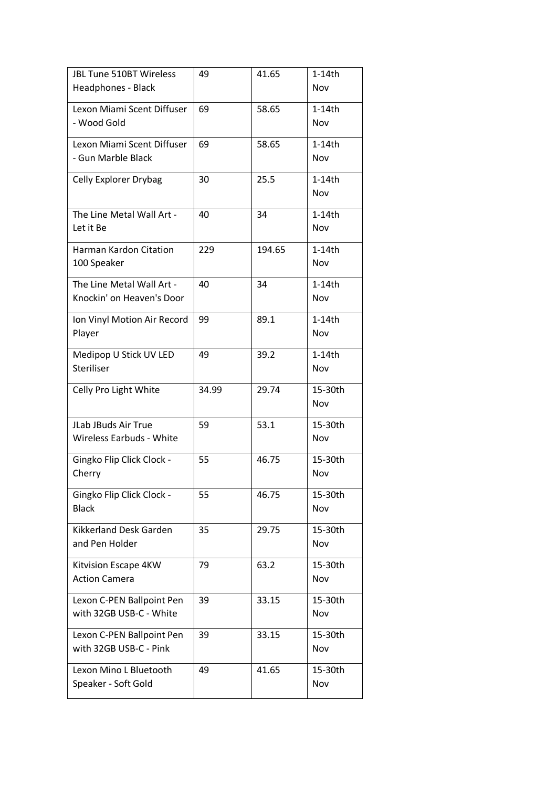| JBL Tune 510BT Wireless<br>Headphones - Black          | 49    | 41.65  | $1-14th$<br>Nov  |
|--------------------------------------------------------|-------|--------|------------------|
| Lexon Miami Scent Diffuser<br>- Wood Gold              | 69    | 58.65  | $1-14$ th<br>Nov |
| Lexon Miami Scent Diffuser<br>- Gun Marble Black       | 69    | 58.65  | $1-14$ th<br>Nov |
| Celly Explorer Drybag                                  | 30    | 25.5   | $1-14$ th<br>Nov |
| The Line Metal Wall Art -<br>Let it Be                 | 40    | 34     | $1-14$ th<br>Nov |
| Harman Kardon Citation<br>100 Speaker                  | 229   | 194.65 | $1-14$ th<br>Nov |
| The Line Metal Wall Art -<br>Knockin' on Heaven's Door | 40    | 34     | $1-14th$<br>Nov  |
| Ion Vinyl Motion Air Record<br>Player                  | 99    | 89.1   | $1-14$ th<br>Nov |
| Medipop U Stick UV LED<br>Steriliser                   | 49    | 39.2   | $1-14$ th<br>Nov |
| Celly Pro Light White                                  | 34.99 | 29.74  | 15-30th<br>Nov   |
| JLab JBuds Air True<br><b>Wireless Earbuds - White</b> | 59    | 53.1   | 15-30th<br>Nov   |
| Gingko Flip Click Clock -<br>Cherry                    | 55    | 46.75  | 15-30th<br>Nov   |
| Gingko Flip Click Clock -                              |       |        |                  |
| <b>Black</b>                                           | 55    | 46.75  | 15-30th<br>Nov   |
| Kikkerland Desk Garden<br>and Pen Holder               | 35    | 29.75  | 15-30th<br>Nov   |
| Kitvision Escape 4KW<br><b>Action Camera</b>           | 79    | 63.2   | 15-30th<br>Nov   |
| Lexon C-PEN Ballpoint Pen<br>with 32GB USB-C - White   | 39    | 33.15  | 15-30th<br>Nov   |
| Lexon C-PEN Ballpoint Pen<br>with 32GB USB-C - Pink    | 39    | 33.15  | 15-30th<br>Nov   |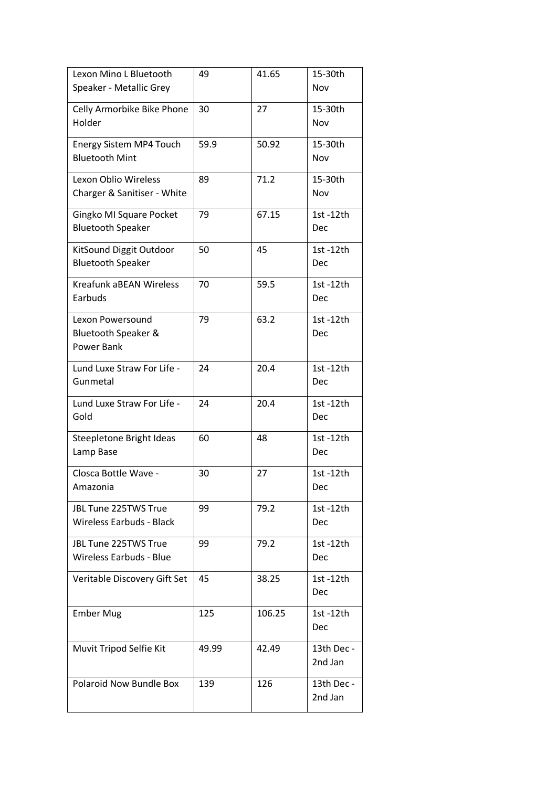| Lexon Mino L Bluetooth<br>Speaker - Metallic Grey          | 49    | 41.65  | 15-30th<br>Nov        |
|------------------------------------------------------------|-------|--------|-----------------------|
| Celly Armorbike Bike Phone<br>Holder                       | 30    | 27     | 15-30th<br>Nov        |
| Energy Sistem MP4 Touch<br><b>Bluetooth Mint</b>           | 59.9  | 50.92  | 15-30th<br>Nov        |
| <b>Lexon Oblio Wireless</b><br>Charger & Sanitiser - White | 89    | 71.2   | 15-30th<br>Nov        |
| Gingko MI Square Pocket<br><b>Bluetooth Speaker</b>        | 79    | 67.15  | 1st -12th<br>Dec      |
| KitSound Diggit Outdoor<br><b>Bluetooth Speaker</b>        | 50    | 45     | 1st -12th<br>Dec      |
| <b>Kreafunk aBEAN Wireless</b><br>Earbuds                  | 70    | 59.5   | 1st-12th<br>Dec       |
| Lexon Powersound<br>Bluetooth Speaker &<br>Power Bank      | 79    | 63.2   | 1st -12th<br>Dec      |
| Lund Luxe Straw For Life -<br>Gunmetal                     | 24    | 20.4   | 1st-12th<br>Dec       |
| Lund Luxe Straw For Life -<br>Gold                         | 24    | 20.4   | 1st-12th<br>Dec       |
| Steepletone Bright Ideas<br>Lamp Base                      | 60    | 48     | 1st-12th<br>Dec       |
| Closca Bottle Wave -<br>Amazonia                           | 30    | 27     | 1st -12th<br>Dec      |
| JBL Tune 225TWS True<br><b>Wireless Earbuds - Black</b>    | 99    | 79.2   | 1st -12th<br>Dec      |
| JBL Tune 225TWS True<br>Wireless Earbuds - Blue            | 99    | 79.2   | 1st -12th<br>Dec      |
| Veritable Discovery Gift Set                               | 45    | 38.25  | 1st -12th<br>Dec      |
| <b>Ember Mug</b>                                           | 125   | 106.25 | 1st -12th<br>Dec      |
| Muvit Tripod Selfie Kit                                    | 49.99 | 42.49  | 13th Dec -<br>2nd Jan |
| Polaroid Now Bundle Box                                    | 139   | 126    | 13th Dec -<br>2nd Jan |